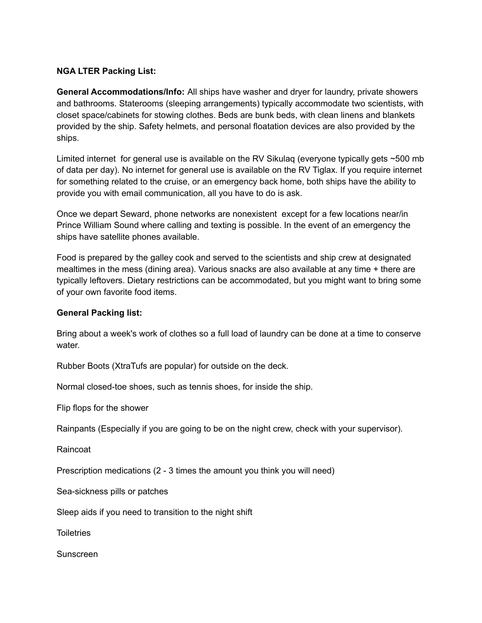## **NGA LTER Packing List:**

**General Accommodations/Info:** All ships have washer and dryer for laundry, private showers and bathrooms. Staterooms (sleeping arrangements) typically accommodate two scientists, with closet space/cabinets for stowing clothes. Beds are bunk beds, with clean linens and blankets provided by the ship. Safety helmets, and personal floatation devices are also provided by the ships.

Limited internet for general use is available on the RV Sikulaq (everyone typically gets ~500 mb of data per day). No internet for general use is available on the RV Tiglax. If you require internet for something related to the cruise, or an emergency back home, both ships have the ability to provide you with email communication, all you have to do is ask.

Once we depart Seward, phone networks are nonexistent except for a few locations near/in Prince William Sound where calling and texting is possible. In the event of an emergency the ships have satellite phones available.

Food is prepared by the galley cook and served to the scientists and ship crew at designated mealtimes in the mess (dining area). Various snacks are also available at any time + there are typically leftovers. Dietary restrictions can be accommodated, but you might want to bring some of your own favorite food items.

## **General Packing list:**

Bring about a week's work of clothes so a full load of laundry can be done at a time to conserve water

Rubber Boots (XtraTufs are popular) for outside on the deck.

Normal closed-toe shoes, such as tennis shoes, for inside the ship.

Flip flops for the shower

Rainpants (Especially if you are going to be on the night crew, check with your supervisor).

Raincoat

Prescription medications (2 - 3 times the amount you think you will need)

Sea-sickness pills or patches

Sleep aids if you need to transition to the night shift

**Toiletries** 

Sunscreen